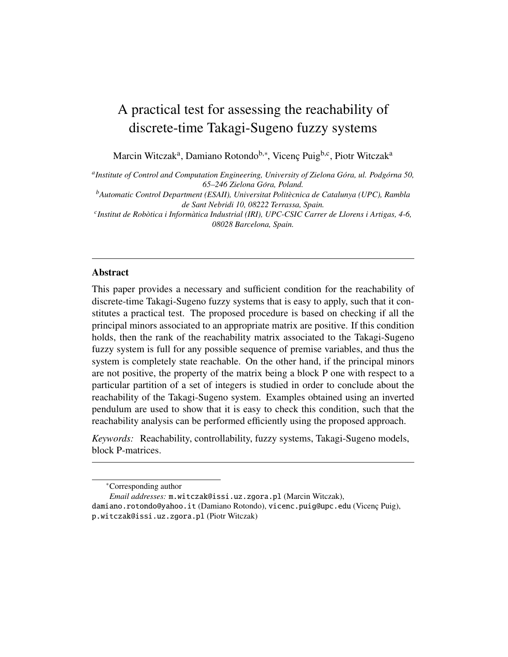# A practical test for assessing the reachability of discrete-time Takagi-Sugeno fuzzy systems

Marcin Witczak<sup>a</sup>, Damiano Rotondo<sup>b,∗</sup>, Vicenç Puig<sup>b,c</sup>, Piotr Witczak<sup>a</sup>

*a Institute of Control and Computation Engineering, University of Zielona Gora, ul. Podg ´ orna 50, ´ 65–246 Zielona Gora, Poland. ´*

*<sup>b</sup>Automatic Control Department (ESAII), Universitat Politecnica de Catalunya (UPC), Rambla ` de Sant Nebridi 10, 08222 Terrassa, Spain.*

*c Institut de Robotica i Inform ` atica Industrial (IRI), UPC-CSIC Carrer de Llorens i Artigas, 4-6, ` 08028 Barcelona, Spain.*

## Abstract

This paper provides a necessary and sufficient condition for the reachability of discrete-time Takagi-Sugeno fuzzy systems that is easy to apply, such that it constitutes a practical test. The proposed procedure is based on checking if all the principal minors associated to an appropriate matrix are positive. If this condition holds, then the rank of the reachability matrix associated to the Takagi-Sugeno fuzzy system is full for any possible sequence of premise variables, and thus the system is completely state reachable. On the other hand, if the principal minors are not positive, the property of the matrix being a block P one with respect to a particular partition of a set of integers is studied in order to conclude about the reachability of the Takagi-Sugeno system. Examples obtained using an inverted pendulum are used to show that it is easy to check this condition, such that the reachability analysis can be performed efficiently using the proposed approach.

*Keywords:* Reachability, controllability, fuzzy systems, Takagi-Sugeno models, block P-matrices.

*Email addresses:* m.witczak@issi.uz.zgora.pl (Marcin Witczak),

damiano.rotondo@yahoo.it (Damiano Rotondo), vicenc.puig@upc.edu (Vicenç Puig), p.witczak@issi.uz.zgora.pl (Piotr Witczak)

<sup>∗</sup>Corresponding author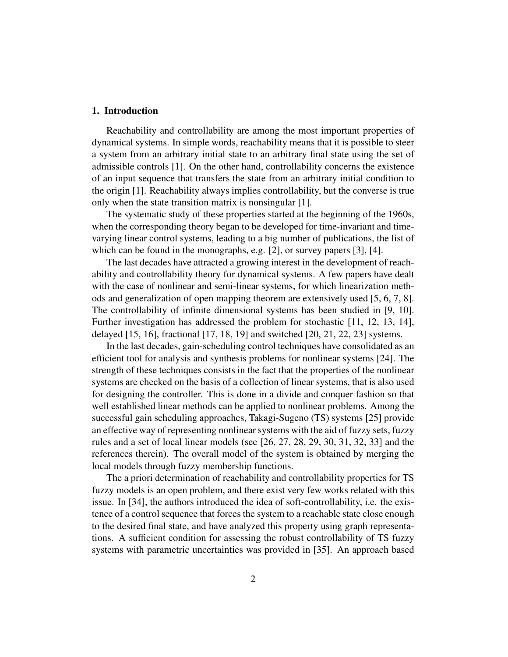#### 1. Introduction

Reachability and controllability are among the most important properties of dynamical systems. In simple words, reachability means that it is possible to steer a system from an arbitrary initial state to an arbitrary final state using the set of admissible controls [1]. On the other hand, controllability concerns the existence of an input sequence that transfers the state from an arbitrary initial condition to the origin [1]. Reachability always implies controllability, but the converse is true only when the state transition matrix is nonsingular [1].

The systematic study of these properties started at the beginning of the 1960s, when the corresponding theory began to be developed for time-invariant and timevarying linear control systems, leading to a big number of publications, the list of which can be found in the monographs, e.g. [2], or survey papers [3], [4].

The last decades have attracted a growing interest in the development of reachability and controllability theory for dynamical systems. A few papers have dealt with the case of nonlinear and semi-linear systems, for which linearization methods and generalization of open mapping theorem are extensively used [5, 6, 7, 8]. The controllability of infinite dimensional systems has been studied in [9, 10]. Further investigation has addressed the problem for stochastic [11, 12, 13, 14], delayed [15, 16], fractional [17, 18, 19] and switched [20, 21, 22, 23] systems.

In the last decades, gain-scheduling control techniques have consolidated as an efficient tool for analysis and synthesis problems for nonlinear systems [24]. The strength of these techniques consists in the fact that the properties of the nonlinear systems are checked on the basis of a collection of linear systems, that is also used for designing the controller. This is done in a divide and conquer fashion so that well established linear methods can be applied to nonlinear problems. Among the successful gain scheduling approaches, Takagi-Sugeno (TS) systems [25] provide an effective way of representing nonlinear systems with the aid of fuzzy sets, fuzzy rules and a set of local linear models (see [26, 27, 28, 29, 30, 31, 32, 33] and the references therein). The overall model of the system is obtained by merging the local models through fuzzy membership functions.

The a priori determination of reachability and controllability properties for TS fuzzy models is an open problem, and there exist very few works related with this issue. In [34], the authors introduced the idea of soft-controllability, i.e. the existence of a control sequence that forces the system to a reachable state close enough to the desired final state, and have analyzed this property using graph representations. A sufficient condition for assessing the robust controllability of TS fuzzy systems with parametric uncertainties was provided in [35]. An approach based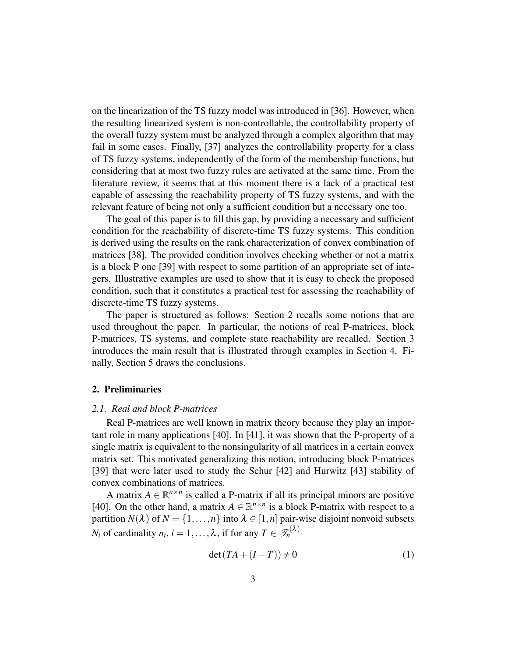on the linearization of the TS fuzzy model was introduced in [36]. However, when the resulting linearized system is non-controllable, the controllability property of the overall fuzzy system must be analyzed through a complex algorithm that may fail in some cases. Finally, [37] analyzes the controllability property for a class of TS fuzzy systems, independently of the form of the membership functions, but considering that at most two fuzzy rules are activated at the same time. From the literature review, it seems that at this moment there is a lack of a practical test capable of assessing the reachability property of TS fuzzy systems, and with the relevant feature of being not only a sufficient condition but a necessary one too.

The goal of this paper is to fill this gap, by providing a necessary and sufficient condition for the reachability of discrete-time TS fuzzy systems. This condition is derived using the results on the rank characterization of convex combination of matrices [38]. The provided condition involves checking whether or not a matrix is a block P one [39] with respect to some partition of an appropriate set of integers. Illustrative examples are used to show that it is easy to check the proposed condition, such that it constitutes a practical test for assessing the reachability of discrete-time TS fuzzy systems.

The paper is structured as follows: Section 2 recalls some notions that are used throughout the paper. In particular, the notions of real P-matrices, block P-matrices, TS systems, and complete state reachability are recalled. Section 3 introduces the main result that is illustrated through examples in Section 4. Finally, Section 5 draws the conclusions.

## 2. Preliminaries

# *2.1. Real and block P-matrices*

Real P-matrices are well known in matrix theory because they play an important role in many applications [40]. In [41], it was shown that the P-property of a single matrix is equivalent to the nonsingularity of all matrices in a certain convex matrix set. This motivated generalizing this notion, introducing block P-matrices [39] that were later used to study the Schur [42] and Hurwitz [43] stability of convex combinations of matrices.

A matrix  $A \in \mathbb{R}^{n \times n}$  is called a P-matrix if all its principal minors are positive [40]. On the other hand, a matrix  $A \in \mathbb{R}^{n \times n}$  is a block P-matrix with respect to a partition  $N(\lambda)$  of  $N = \{1, ..., n\}$  into  $\lambda \in [1, n]$  pair-wise disjoint nonvoid subsets *N*<sub>*i*</sub> of cardinality *n*<sub>*i*</sub>, *i* = 1,..., *λ*, if for any  $T \in \mathcal{T}_n^{(\lambda)}$ 

$$
\det(TA + (I - T)) \neq 0 \tag{1}
$$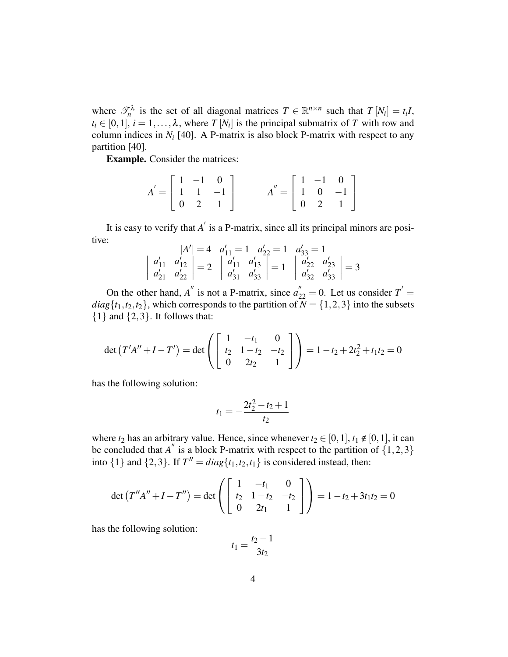where  $\mathcal{T}_n^{\lambda}$  is the set of all diagonal matrices  $T \in \mathbb{R}^{n \times n}$  such that  $T[N_i] = t_i I$ ,  $t_i \in [0,1], i = 1,\ldots,\lambda$ , where *T* [*N<sub>i</sub>*] is the principal submatrix of *T* with row and column indices in  $N_i$  [40]. A P-matrix is also block P-matrix with respect to any partition [40].

Example. Consider the matrices:

$$
A' = \begin{bmatrix} 1 & -1 & 0 \\ 1 & 1 & -1 \\ 0 & 2 & 1 \end{bmatrix} \qquad A'' = \begin{bmatrix} 1 & -1 & 0 \\ 1 & 0 & -1 \\ 0 & 2 & 1 \end{bmatrix}
$$

It is easy to verify that  $A'$  is a P-matrix, since all its principal minors are positive:

$$
|A'| = 4 \quad a'_{11} = 1 \quad a'_{22} = 1 \quad a'_{33} = 1
$$
  

$$
\begin{vmatrix} a'_{11} & a'_{12} \\ a'_{21} & a'_{22} \end{vmatrix} = 2 \quad \begin{vmatrix} a'_{11} & a'_{13} \\ a'_{31} & a'_{33} \end{vmatrix} = 1 \quad \begin{vmatrix} a'_{22} & a'_{23} \\ a'_{32} & a'_{33} \end{vmatrix} = 3
$$

On the other hand, *A*<sup>"</sup> is not a P-matrix, since  $a_{22}'' = 0$ . Let us consider  $T' =$  $diag\{t_1, t_2, t_2\}$ , which corresponds to the partition of  $\overline{N} = \{1, 2, 3\}$  into the subsets  $\{1\}$  and  $\{2,3\}$ . It follows that:

$$
\det(T'A'' + I - T') = \det\left(\begin{bmatrix} 1 & -t_1 & 0 \\ t_2 & 1 - t_2 & -t_2 \\ 0 & 2t_2 & 1 \end{bmatrix}\right) = 1 - t_2 + 2t_2 + t_1t_2 = 0
$$

has the following solution:

$$
t_1 = -\frac{2t_2^2 - t_2 + 1}{t_2}
$$

where  $t_2$  has an arbitrary value. Hence, since whenever  $t_2 \in [0,1]$ ,  $t_1 \notin [0,1]$ , it can be concluded that *A*<sup>"</sup> is a block P-matrix with respect to the partition of  $\{1,2,3\}$ into  $\{1\}$  and  $\{2,3\}$ . If  $T'' = diag\{t_1, t_2, t_1\}$  is considered instead, then:

$$
\det(T''A'' + I - T'') = \det\left(\begin{bmatrix} 1 & -t_1 & 0\\ t_2 & 1 - t_2 & -t_2\\ 0 & 2t_1 & 1 \end{bmatrix}\right) = 1 - t_2 + 3t_1t_2 = 0
$$

has the following solution:

$$
t_1 = \frac{t_2 - 1}{3t_2}
$$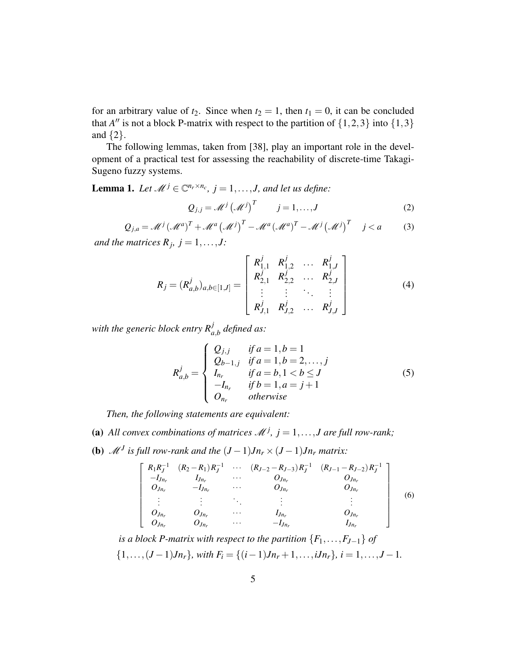for an arbitrary value of  $t_2$ . Since when  $t_2 = 1$ , then  $t_1 = 0$ , it can be concluded that *A*<sup>*n*</sup> is not a block P-matrix with respect to the partition of  $\{1,2,3\}$  into  $\{1,3\}$ and  $\{2\}$ .

The following lemmas, taken from [38], play an important role in the development of a practical test for assessing the reachability of discrete-time Takagi-Sugeno fuzzy systems.

**Lemma 1.** Let  $\mathcal{M}^j \in \mathbb{C}^{n_r \times n_c}$ ,  $j = 1, \ldots, J$ , and let us define:

$$
Q_{j,j} = \mathcal{M}^j \left(\mathcal{M}^j\right)^T \qquad j = 1,\dots,J \tag{2}
$$

$$
Q_{j,a} = \mathcal{M}^j \left(\mathcal{M}^a\right)^T + \mathcal{M}^a \left(\mathcal{M}^j\right)^T - \mathcal{M}^a \left(\mathcal{M}^a\right)^T - \mathcal{M}^j \left(\mathcal{M}^j\right)^T \quad j < a \tag{3}
$$

*and the matrices*  $R_j$ ,  $j = 1, \ldots, J$ :

$$
R_j = (R_{a,b}^j)_{a,b \in [1,J]} = \begin{bmatrix} R_{1,1}^j & R_{1,2}^j & \dots & R_{1,J}^j \\ R_{2,1}^j & R_{2,2}^j & \dots & R_{2,J}^j \\ \vdots & \vdots & \ddots & \vdots \\ R_{J,1}^j & R_{J,2}^j & \dots & R_{J,J}^j \end{bmatrix}
$$
(4)

with the generic block entry  $R^j_{a,b}$  defined as:

$$
R_{a,b}^{j} = \begin{cases} Q_{j,j} & \text{if } a = 1, b = 1 \\ Q_{b-1,j} & \text{if } a = 1, b = 2, \dots, j \\ I_{n_r} & \text{if } a = b, 1 < b \le J \\ -I_{n_r} & \text{if } b = 1, a = j + 1 \\ O_{n_r} & \text{otherwise} \end{cases}
$$
(5)

*Then, the following statements are equivalent:*

- (a) All convex combinations of matrices  $\mathcal{M}^j$ ,  $j = 1, \ldots, J$  are full row-rank;
- (**b**)  $\mathcal{M}^J$  is full row-rank and the  $(J-1)Jn_r \times (J-1)Jn_r$  matrix:

$$
\begin{bmatrix}\nR_1 R_J^{-1} & (R_2 - R_1) R_J^{-1} & \cdots & (R_{J-2} - R_{J-3}) R_J^{-1} & (R_{J-1} - R_{J-2}) R_J^{-1} \\
-I_{Jn_r} & I_{Jn_r} & \cdots & O_{Jn_r} & O_{Jn_r} \\
O_{Jn_r} & -I_{Jn_r} & \cdots & O_{Jn_r} & O_{Jn_r} \\
\vdots & \vdots & \ddots & \vdots & \vdots \\
O_{Jn_r} & O_{Jn_r} & \cdots & I_{Jn_r} & O_{Jn_r} \\
O_{Jn_r} & O_{Jn_r} & \cdots & -I_{Jn_r} & I_{Jn_r}\n\end{bmatrix}\n\tag{6}
$$

*is a block P-matrix with respect to the partition*  ${F_1, \ldots, F_{J-1}}$  *of* { $1, \ldots, (J-1)Jn_r$ }*, with*  $F_i = \{(i-1)Jn_r + 1, \ldots, iJn_r\}$ *, i* = 1*,..., J* − 1*.*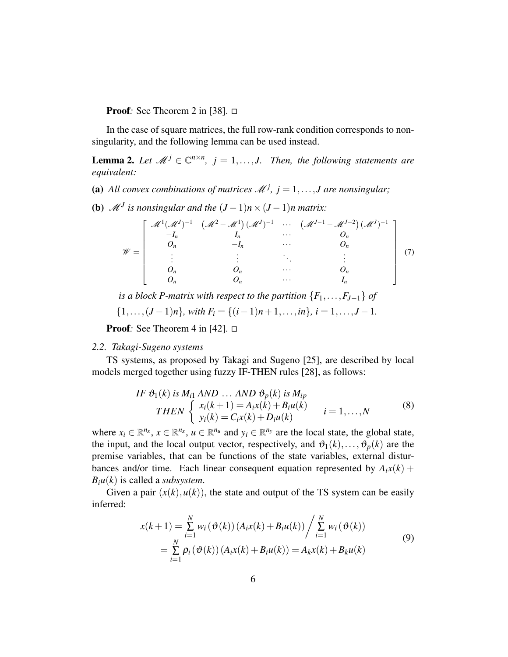**Proof**: See Theorem 2 in [38].  $\Box$ 

In the case of square matrices, the full row-rank condition corresponds to nonsingularity, and the following lemma can be used instead.

**Lemma 2.** Let  $\mathcal{M}^j \in \mathbb{C}^{n \times n}$ ,  $j = 1, ..., J$ . Then, the following statements are *equivalent:*

(a) All convex combinations of matrices  $\mathcal{M}^j$ ,  $j = 1, \ldots, J$  are nonsingular;

**(b)**  $\mathcal{M}^J$  is nonsingular and the  $(J-1)n \times (J-1)n$  matrix:

$$
\mathscr{W} = \left[\begin{array}{cccc} \mathscr{M}^1(\mathscr{M}^J)^{-1} & (\mathscr{M}^2 - \mathscr{M}^1)(\mathscr{M}^J)^{-1} & \cdots & (\mathscr{M}^{J-1} - \mathscr{M}^{J-2})(\mathscr{M}^J)^{-1} \\ -I_n & I_n & \cdots & O_n \\ 0_n & -I_n & \cdots & O_n \\ \vdots & \vdots & \ddots & \vdots \\ 0_n & 0_n & \cdots & O_n \\ 0_n & O_n & \cdots & I_n \end{array}\right] \tag{7}
$$

*is a block P-matrix with respect to the partition*  ${F_1, \ldots, F_{J-1}}$  *of*  $\{1,\ldots,(J-1)n\}$ , with  $F_i = \{(i-1)n+1,\ldots,in\}$ ,  $i = 1,\ldots,J-1$ .

**Proof**: See Theorem 4 in [42].  $\Box$ 

#### *2.2. Takagi-Sugeno systems*

TS systems, as proposed by Takagi and Sugeno [25], are described by local models merged together using fuzzy IF-THEN rules [28], as follows:

IF 
$$
\vartheta_1(k)
$$
 is  $M_{i1}$  AND ... AND  $\vartheta_p(k)$  is  $M_{ip}$   
\nTHEN 
$$
\begin{cases} x_i(k+1) = A_i x(k) + B_i u(k) \\ y_i(k) = C_i x(k) + D_i u(k) \end{cases}
$$
  $i = 1,...,N$  (8)

where  $x_i \in \mathbb{R}^{n_x}$ ,  $x \in \mathbb{R}^{n_x}$ ,  $u \in \mathbb{R}^{n_u}$  and  $y_i \in \mathbb{R}^{n_y}$  are the local state, the global state, the input, and the local output vector, respectively, and  $\vartheta_1(k), \ldots, \vartheta_p(k)$  are the premise variables, that can be functions of the state variables, external disturbances and/or time. Each linear consequent equation represented by  $A_i x(k)$  +  $B_i u(k)$  is called a *subsystem*.

Given a pair  $(x(k), u(k))$ , the state and output of the TS system can be easily inferred:

$$
x(k+1) = \sum_{i=1}^{N} w_i (\vartheta(k)) (A_i x(k) + B_i u(k)) / \sum_{i=1}^{N} w_i (\vartheta(k))
$$
  
= 
$$
\sum_{i=1}^{N} \rho_i (\vartheta(k)) (A_i x(k) + B_i u(k)) = A_k x(k) + B_k u(k)
$$
 (9)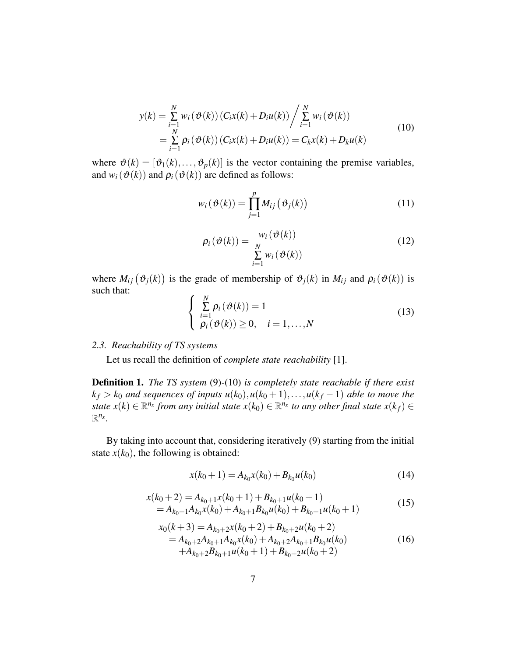$$
y(k) = \sum_{i=1}^{N} w_i (\vartheta(k)) (C_i x(k) + D_i u(k)) / \sum_{i=1}^{N} w_i (\vartheta(k))
$$
  
= 
$$
\sum_{i=1}^{N} \rho_i (\vartheta(k)) (C_i x(k) + D_i u(k)) = C_k x(k) + D_k u(k)
$$
 (10)

where  $\vartheta(k) = [\vartheta_1(k), \dots, \vartheta_p(k)]$  is the vector containing the premise variables, and  $w_i(\vartheta(k))$  and  $\rho_i(\vartheta(k))$  are defined as follows:

$$
w_i(\vartheta(k)) = \prod_{j=1}^p M_{ij}(\vartheta_j(k))
$$
\n(11)

$$
\rho_i(\vartheta(k)) = \frac{w_i(\vartheta(k))}{\sum\limits_{i=1}^N w_i(\vartheta(k))}
$$
\n(12)

where  $M_{ij}(\vartheta_j(k))$  is the grade of membership of  $\vartheta_j(k)$  in  $M_{ij}$  and  $\rho_i(\vartheta(k))$  is such that:  $\overline{a}$ 

$$
\begin{cases} \sum_{i=1}^{N} \rho_i(\vartheta(k)) = 1\\ \rho_i(\vartheta(k)) \ge 0, \quad i = 1, ..., N \end{cases}
$$
\n(13)

### *2.3. Reachability of TS systems*

Let us recall the definition of *complete state reachability* [1].

Definition 1. *The TS system* (9)*-*(10) *is completely state reachable if there exist*  $k_f > k_0$  *and sequences of inputs*  $u(k_0), u(k_0 + 1), \ldots, u(k_f - 1)$  *able to move the state*  $x(k) \in \mathbb{R}^{n_x}$  *from any initial state*  $x(k_0) \in \mathbb{R}^{n_x}$  *to any other final state*  $x(k_f) \in$  $\mathbb{R}^{n_x}$ .

By taking into account that, considering iteratively (9) starting from the initial state  $x(k_0)$ , the following is obtained:

$$
x(k_0 + 1) = A_{k_0}x(k_0) + B_{k_0}u(k_0)
$$
\n(14)

$$
x(k_0+2) = A_{k_0+1}x(k_0+1) + B_{k_0+1}u(k_0+1)
$$
  
=  $A_{k_0+1}A_{k_0}x(k_0) + A_{k_0+1}B_{k_0}u(k_0) + B_{k_0+1}u(k_0+1)$  (15)

$$
x_0(k+3) = A_{k_0+2}x(k_0+2) + B_{k_0+2}u(k_0+2)
$$
  
=  $A_{k_0+2}A_{k_0+1}A_{k_0}x(k_0) + A_{k_0+2}A_{k_0+1}B_{k_0}u(k_0)$   
+  $A_{k_0+2}B_{k_0+1}u(k_0+1) + B_{k_0+2}u(k_0+2)$  (16)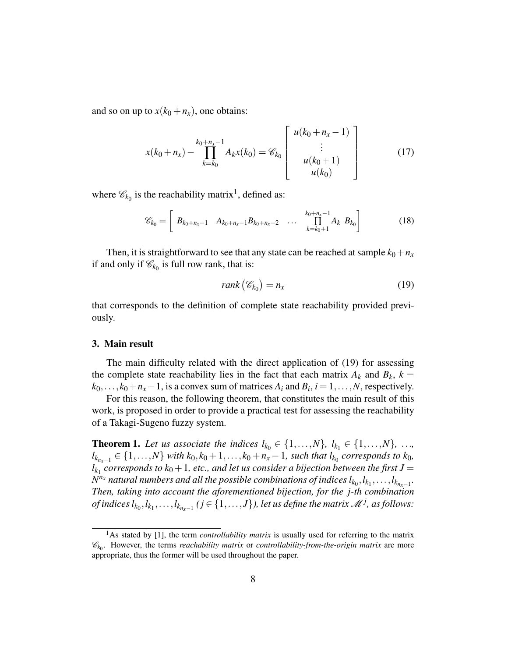and so on up to  $x(k_0 + n_x)$ , one obtains:

$$
x(k_0 + n_x) - \prod_{k=k_0}^{k_0 + n_x - 1} A_k x(k_0) = \mathcal{C}_{k_0} \begin{bmatrix} u(k_0 + n_x - 1) \\ \vdots \\ u(k_0 + 1) \\ u(k_0) \end{bmatrix}
$$
 (17)

where  $\mathscr{C}_{k_0}$  is the reachability matrix<sup>1</sup>, defined as:

$$
\mathscr{C}_{k_0} = \left[ B_{k_0+n_x-1} \quad A_{k_0+n_x-1} B_{k_0+n_x-2} \quad \dots \quad \prod_{k=k_0+1}^{k_0+n_x-1} A_k \quad B_{k_0} \right] \tag{18}
$$

Then, it is straightforward to see that any state can be reached at sample  $k_0 + n_x$ if and only if  $\mathcal{C}_{k_0}$  is full row rank, that is:

$$
rank\left(\mathscr{C}_{k_0}\right) = n_x \tag{19}
$$

that corresponds to the definition of complete state reachability provided previously.

#### 3. Main result

The main difficulty related with the direct application of (19) for assessing the complete state reachability lies in the fact that each matrix  $A_k$  and  $B_k$ ,  $k =$  $k_0, \ldots, k_0+n_x-1$ , is a convex sum of matrices  $A_i$  and  $B_i$ ,  $i=1,\ldots,N$ , respectively.

For this reason, the following theorem, that constitutes the main result of this work, is proposed in order to provide a practical test for assessing the reachability of a Takagi-Sugeno fuzzy system.

**Theorem 1.** Let us associate the indices  $l_{k_0} \in \{1, ..., N\}$ ,  $l_{k_1} \in \{1, ..., N\}$ , ..., *l*<sub>*k*<sub>*nx−1*</sub></sub> ∈ {1,...,*N*} *with k*<sub>0</sub>, *k*<sub>0</sub> + 1,..., *k*<sub>0</sub> + *n<sub>x</sub>* − 1, *such that l*<sub>*k*<sub>0</sub></sub> *corresponds to k*<sub>0</sub>*,*  $l_{k_1}$  corresponds to  $k_0+1$ , etc., and let us consider a bijection between the first  $J=$  $N^{n_x}$  *natural numbers and all the possible combinations of indices*  $l_{k_0}, l_{k_1}, \ldots, l_{k_{n_x-1}}.$ *Then, taking into account the aforementioned bijection, for the j-th combination of indices*  $l_{k_0}, l_{k_1}, \ldots, l_{k_{n_x-1}}$  *(*  $j \in \{1, \ldots, J\}$  *), let us define the matrix*  $\mathscr{M}^j$ *, as follows:* 

<sup>&</sup>lt;sup>1</sup>As stated by [1], the term *controllability matrix* is usually used for referring to the matrix C*k*<sup>0</sup> . However, the terms *reachability matrix* or *controllability-from-the-origin matrix* are more appropriate, thus the former will be used throughout the paper.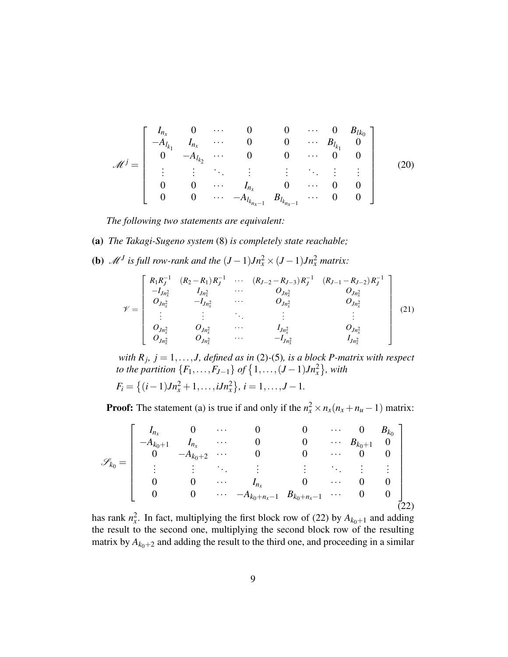$$
\mathcal{M}^{j} = \begin{bmatrix} I_{n_{x}} & 0 & \cdots & 0 & 0 & \cdots & 0 & B_{lk_{0}} \\ -A_{l_{k_{1}}} & I_{n_{x}} & \cdots & 0 & 0 & \cdots & B_{l_{k_{1}}} & 0 \\ 0 & -A_{l_{k_{2}}} & \cdots & 0 & 0 & \cdots & 0 & 0 \\ \vdots & \vdots & \ddots & \vdots & \vdots & \ddots & \vdots & \vdots \\ 0 & 0 & \cdots & I_{n_{x}} & 0 & \cdots & 0 & 0 \\ 0 & 0 & \cdots & -A_{l_{k_{n_{x}-1}}} & B_{l_{k_{n_{x}-1}}} & \cdots & 0 & 0 \end{bmatrix}
$$
(20)

*The following two statements are equivalent:*

- (a) *The Takagi-Sugeno system* (8) *is completely state reachable;*
- (**b**)  $\mathcal{M}^J$  is full row-rank and the  $(J-1)Jn_x^2 \times (J-1)Jn_x^2$  matrix:

$$
\mathscr{V} = \begin{bmatrix} R_1 R_J^{-1} & (R_2 - R_1) R_J^{-1} & \cdots & (R_{J-2} - R_{J-3}) R_J^{-1} & (R_{J-1} - R_{J-2}) R_J^{-1} \\ -I_{Jn_x^2} & I_{Jn_x^2} & \cdots & O_{Jn_x^2} & O_{Jn_x^2} \\ O_{Jn_x^2} & -I_{Jn_x^2} & \cdots & O_{Jn_x^2} & O_{Jn_x^2} \\ \vdots & \vdots & \ddots & \vdots & \vdots & \vdots \\ O_{Jn_x^2} & O_{Jn_x^2} & \cdots & I_{Jn_x^2} & O_{Jn_x^2} \\ O_{Jn_x^2} & O_{Jn_x^2} & \cdots & -I_{Jn_x^2} & I_{Jn_x^2} \end{bmatrix} \tag{21}
$$

*with*  $R_j$ ,  $j = 1, \ldots, J$ , defined as in (2)-(5), is a block P-matrix with respect *to the partition*  ${F_1, \ldots, F_{J-1}}$  *of*  ${1, \ldots, (J-1)Jn_x^2}$ , with

$$
F_i = \{(i-1)Jn_x^2 + 1,\ldots,iJn_x^2\}, i = 1,\ldots,J-1.
$$

**Proof:** The statement (a) is true if and only if the  $n_x^2 \times n_x(n_x + n_u - 1)$  matrix:

$$
\mathscr{S}_{k_0} = \left[\begin{array}{ccccc} I_{n_x} & 0 & \cdots & 0 & 0 & \cdots & 0 & B_{k_0} \\ -A_{k_0+1} & I_{n_x} & \cdots & 0 & 0 & \cdots & B_{k_0+1} & 0 \\ 0 & -A_{k_0+2} & \cdots & 0 & 0 & \cdots & 0 & 0 \\ \vdots & \vdots & \ddots & \vdots & \vdots & \ddots & \vdots & \vdots \\ 0 & 0 & \cdots & I_{n_x} & 0 & \cdots & 0 & 0 \\ 0 & 0 & \cdots & -A_{k_0+n_x-1} & B_{k_0+n_x-1} & \cdots & 0 & 0 \\ \end{array}\right]
$$

has rank  $n_x^2$ . In fact, multiplying the first block row of (22) by  $A_{k_0+1}$  and adding the result to the second one, multiplying the second block row of the resulting matrix by  $A_{k_0+2}$  and adding the result to the third one, and proceeding in a similar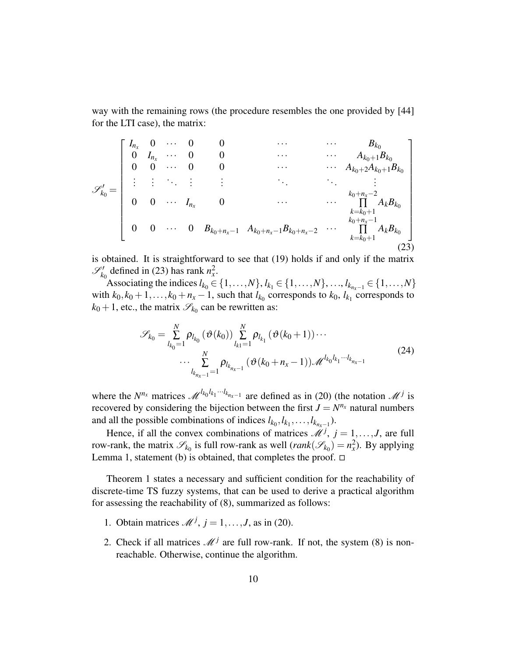way with the remaining rows (the procedure resembles the one provided by [44] for the LTI case), the matrix:

$$
\mathscr{S}'_{k_0} = \begin{bmatrix}\nI_{n_x} & 0 & \cdots & 0 & 0 & & \cdots & & \cdots & B_{k_0} \\
0 & I_{n_x} & \cdots & 0 & 0 & & \cdots & & \cdots & A_{k_0+1}B_{k_0} \\
0 & 0 & \cdots & 0 & 0 & & \cdots & & A_{k_0+2}A_{k_0+1}B_{k_0} \\
\vdots & \vdots & \ddots & \vdots & \vdots & & \ddots & & \vdots \\
0 & 0 & \cdots & I_{n_x} & 0 & & \cdots & & \cdots & \prod_{k=k_0+1}^{k_0+n_x-2}A_kB_{k_0} \\
0 & 0 & \cdots & 0 & B_{k_0+n_x-1} & A_{k_0+n_x-1}B_{k_0+n_x-2} & \cdots & \prod_{k=k_0+1}^{k_0+n_x-1}A_kB_{k_0}\n\end{bmatrix}
$$
\n(23)

is obtained. It is straightforward to see that (19) holds if and only if the matrix  $\mathscr{S}'_{k_0}$  defined in (23) has rank  $n_x^2$ .

Associating the indices  $l_{k_0} \in \{1, ..., N\}$ ,  $l_{k_1} \in \{1, ..., N\}$ , ...,  $l_{k_{n_x-1}} \in \{1, ..., N\}$ with  $k_0, k_0 + 1, \ldots, k_0 + n_x - 1$ , such that  $l_{k_0}$  corresponds to  $k_0, l_{k_1}$  corresponds to  $k_0 + 1$ , etc., the matrix  $\mathscr{S}_{k_0}$  can be rewritten as:

$$
\mathscr{S}_{k_0} = \sum_{l_{k_0}=1}^{N} \rho_{l_{k_0}} (\vartheta(k_0)) \sum_{l_{k_1}=1}^{N} \rho_{l_{k_1}} (\vartheta(k_0+1)) \cdots
$$
  

$$
\cdots \sum_{l_{k_{n_x-1}}=1}^{N} \rho_{l_{k_{n_x-1}}} (\vartheta(k_0+n_x-1)) \mathscr{M}^{l_{k_0}l_{k_1} \cdots l_{k_{n_x-1}}} \qquad (24)
$$

where the  $N^{n_x}$  matrices  $\mathcal{M}^{l_{k_0}l_{k_1}\cdots l_{k_{n_x-1}}}$  are defined as in (20) (the notation  $\mathcal{M}^j$  is recovered by considering the bijection between the first  $J = N^{n_x}$  natural numbers and all the possible combinations of indices  $l_{k_0}, l_{k_1}, \ldots, l_{k_{n_x-1}}$ ).

Hence, if all the convex combinations of matrices  $\mathcal{M}^j$ ,  $j = 1, \ldots, J$ , are full row-rank, the matrix  $\mathscr{S}_{k_0}$  is full row-rank as well  $(rank(\mathscr{S}_{k_0}) = n_x^2)$ . By applying Lemma 1, statement (b) is obtained, that completes the proof.  $\Box$ 

Theorem 1 states a necessary and sufficient condition for the reachability of discrete-time TS fuzzy systems, that can be used to derive a practical algorithm for assessing the reachability of (8), summarized as follows:

- 1. Obtain matrices  $\mathcal{M}^j$ ,  $j = 1, \ldots, J$ , as in (20).
- 2. Check if all matrices  $\mathcal{M}^j$  are full row-rank. If not, the system (8) is nonreachable. Otherwise, continue the algorithm.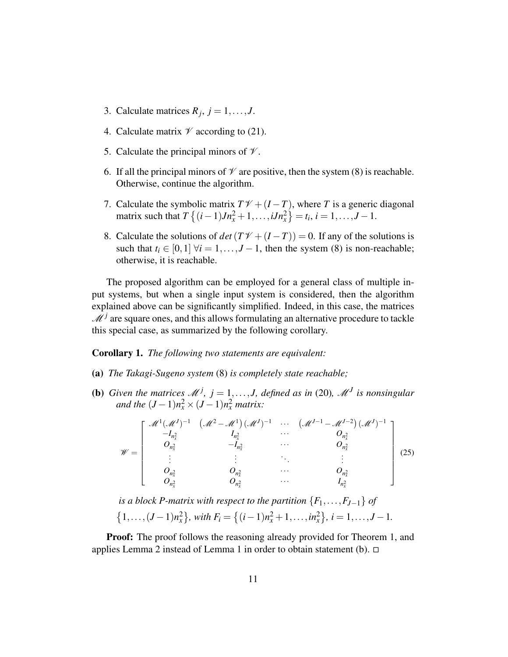- 3. Calculate matrices  $R_j$ ,  $j = 1, \ldots, J$ .
- 4. Calculate matrix  $\mathcal V$  according to (21).
- 5. Calculate the principal minors of  $\mathcal V$ .
- 6. If all the principal minors of  $\mathcal V$  are positive, then the system (8) is reachable. Otherwise, continue the algorithm.
- 7. Calculate the symbolic matrix  $T\mathcal{V} + (I T)$ , where *T* is a generic diagonal matrix such that  $T\{(i-1)Jn_x^2 + 1, \ldots, iJn_x^2\} = t_i, i = 1, \ldots, J-1.$
- 8. Calculate the solutions of  $det(TV + (I T)) = 0$ . If any of the solutions is such that  $t_i \in [0,1]$   $\forall i = 1,..., J-1$ , then the system (8) is non-reachable; otherwise, it is reachable.

The proposed algorithm can be employed for a general class of multiple input systems, but when a single input system is considered, then the algorithm explained above can be significantly simplified. Indeed, in this case, the matrices  $\mathcal{M}^j$  are square ones, and this allows formulating an alternative procedure to tackle this special case, as summarized by the following corollary.

## Corollary 1. *The following two statements are equivalent:*

- (a) *The Takagi-Sugeno system* (8) *is completely state reachable;*
- **(b)** Given the matrices  $\mathcal{M}^j$ ,  $j = 1, ..., J$ , defined as in (20),  $\mathcal{M}^J$  is nonsingular *and the*  $(J - 1)n_x^2 \times (J - 1)n_x^2$  *matrix:*

$$
\mathscr{W} = \begin{bmatrix} \mathscr{M}^{1}(\mathscr{M}^{J})^{-1} & (\mathscr{M}^{2} - \mathscr{M}^{1})(\mathscr{M}^{J})^{-1} & \cdots & (\mathscr{M}^{J-1} - \mathscr{M}^{J-2})(\mathscr{M}^{J})^{-1} \\ -I_{n_{x}^{2}} & I_{n_{x}^{2}} & \cdots & O_{n_{x}^{2}} \\ 0_{n_{x}^{2}} & -I_{n_{x}^{2}} & \cdots & O_{n_{x}^{2}} \\ \vdots & \vdots & \ddots & \vdots \\ 0_{n_{x}^{2}} & O_{n_{x}^{2}} & \cdots & O_{n_{x}^{2}} \\ 0_{n_{x}^{2}} & O_{n_{x}^{2}} & \cdots & I_{n_{x}^{2}} \end{bmatrix} \tag{25}
$$

*is a block P-matrix with respect to the partition*  ${F_1, \ldots, F_{J-1}}$  *of*  $\{(1,\ldots,(J-1)n_x^2\}$ , with  $F_i = \{(i-1)n_x^2 + 1,\ldots,in_x^2\}$ ,  $i = 1,\ldots,J-1$ .

**Proof:** The proof follows the reasoning already provided for Theorem 1, and applies Lemma 2 instead of Lemma 1 in order to obtain statement (b).  $\Box$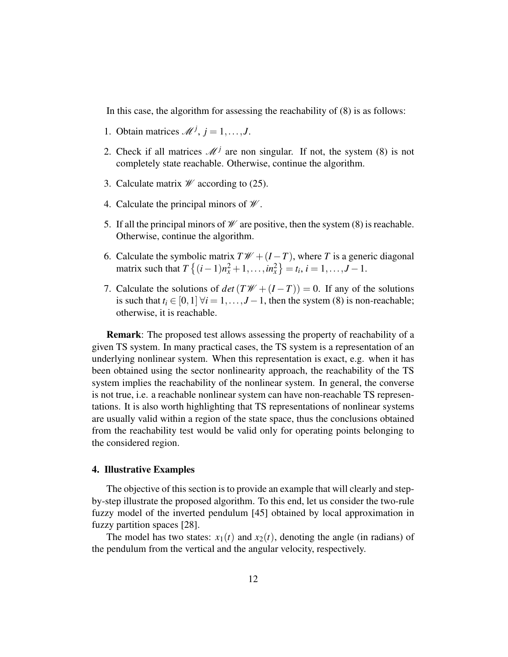In this case, the algorithm for assessing the reachability of (8) is as follows:

- 1. Obtain matrices  $\mathcal{M}^j$ ,  $j = 1, \ldots, J$ .
- 2. Check if all matrices  $\mathcal{M}^j$  are non singular. If not, the system (8) is not completely state reachable. Otherwise, continue the algorithm.
- 3. Calculate matrix  $\mathscr W$  according to (25).
- 4. Calculate the principal minors of  $\mathcal W$ .
- 5. If all the principal minors of  $\mathcal W$  are positive, then the system (8) is reachable. Otherwise, continue the algorithm.
- 6. Calculate the symbolic matrix  $T\mathscr{W} + (I T)$ , where *T* is a generic diagonal matrix such that  $T\{(i-1)n_x^2 + 1, ..., in_x^2\} = t_i, i = 1, ..., J-1$ .
- 7. Calculate the solutions of  $det(TW + (I T)) = 0$ . If any of the solutions is such that  $t_i \in [0,1]$   $\forall i = 1,..., J-1$ , then the system (8) is non-reachable; otherwise, it is reachable.

Remark: The proposed test allows assessing the property of reachability of a given TS system. In many practical cases, the TS system is a representation of an underlying nonlinear system. When this representation is exact, e.g. when it has been obtained using the sector nonlinearity approach, the reachability of the TS system implies the reachability of the nonlinear system. In general, the converse is not true, i.e. a reachable nonlinear system can have non-reachable TS representations. It is also worth highlighting that TS representations of nonlinear systems are usually valid within a region of the state space, thus the conclusions obtained from the reachability test would be valid only for operating points belonging to the considered region.

# 4. Illustrative Examples

The objective of this section is to provide an example that will clearly and stepby-step illustrate the proposed algorithm. To this end, let us consider the two-rule fuzzy model of the inverted pendulum [45] obtained by local approximation in fuzzy partition spaces [28].

The model has two states:  $x_1(t)$  and  $x_2(t)$ , denoting the angle (in radians) of the pendulum from the vertical and the angular velocity, respectively.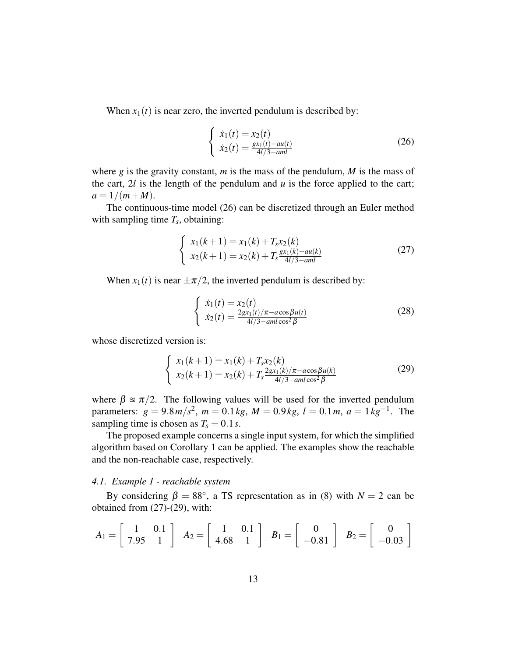When  $x_1(t)$  is near zero, the inverted pendulum is described by:

$$
\begin{cases}\n\dot{x}_1(t) = x_2(t) \\
\dot{x}_2(t) = \frac{gx_1(t) - au(t)}{4l/3 - aml}\n\end{cases}
$$
\n(26)

where *g* is the gravity constant, *m* is the mass of the pendulum, *M* is the mass of the cart,  $2l$  is the length of the pendulum and  $u$  is the force applied to the cart;  $a = 1/(m + M)$ .

The continuous-time model (26) can be discretized through an Euler method with sampling time  $T_s$ , obtaining:

$$
\begin{cases}\n x_1(k+1) = x_1(k) + T_s x_2(k) \\
 x_2(k+1) = x_2(k) + T_s \frac{gx_1(k) - au(k)}{4l/3 - aml}\n\end{cases}
$$
\n(27)

When  $x_1(t)$  is near  $\pm \pi/2$ , the inverted pendulum is described by:

$$
\begin{cases}\n\dot{x}_1(t) = x_2(t) \\
\dot{x}_2(t) = \frac{2gx_1(t)/\pi - a\cos\beta u(t)}{4l/3 - aml\cos^2\beta}\n\end{cases}
$$
\n(28)

whose discretized version is:

$$
\begin{cases}\n x_1(k+1) = x_1(k) + T_s x_2(k) \\
 x_2(k+1) = x_2(k) + T_s \frac{2gx_1(k)/\pi - a\cos\beta u(k)}{4l/3 - aml\cos^2\beta}\n\end{cases}
$$
\n(29)

where  $\beta \approx \pi/2$ . The following values will be used for the inverted pendulum parameters:  $g = 9.8 \frac{m}{s^2}$ ,  $m = 0.1 \frac{kg}{s}$ ,  $M = 0.9 \frac{kg}{s}$ ,  $l = 0.1 \frac{m}{s}$ ,  $a = 1 \frac{kg}{s}$ . The sampling time is chosen as  $T_s = 0.1 s$ .

The proposed example concerns a single input system, for which the simplified algorithm based on Corollary 1 can be applied. The examples show the reachable and the non-reachable case, respectively.

## *4.1. Example 1 - reachable system*

By considering  $\beta = 88^\circ$ , a TS representation as in (8) with  $N = 2$  can be obtained from (27)-(29), with:

$$
A_1 = \begin{bmatrix} 1 & 0.1 \\ 7.95 & 1 \end{bmatrix} \quad A_2 = \begin{bmatrix} 1 & 0.1 \\ 4.68 & 1 \end{bmatrix} \quad B_1 = \begin{bmatrix} 0 \\ -0.81 \end{bmatrix} \quad B_2 = \begin{bmatrix} 0 \\ -0.03 \end{bmatrix}
$$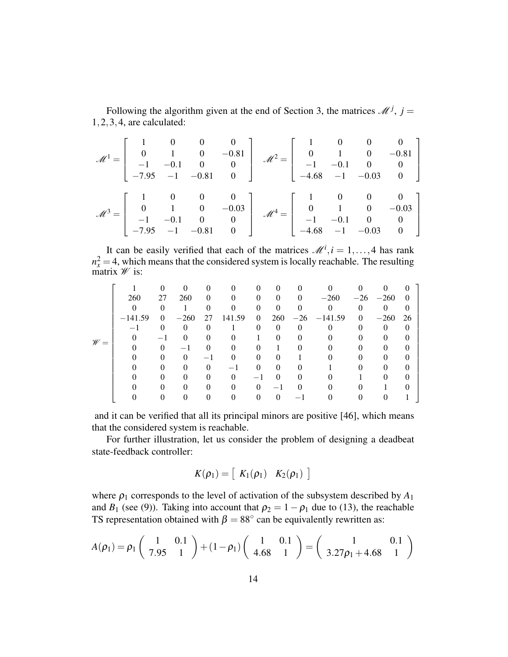Following the algorithm given at the end of Section 3, the matrices  $\mathcal{M}^j$ ,  $j =$ 1,2,3,4, are calculated:

$$
\mathcal{M}^{1} = \begin{bmatrix} 1 & 0 & 0 & 0 \\ 0 & 1 & 0 & -0.81 \\ -1 & -0.1 & 0 & 0 \\ -7.95 & -1 & -0.81 & 0 \end{bmatrix} \quad \mathcal{M}^{2} = \begin{bmatrix} 1 & 0 & 0 & 0 \\ 0 & 1 & 0 & -0.81 \\ -1 & -0.1 & 0 & 0 \\ -4.68 & -1 & -0.03 & 0 \end{bmatrix}
$$

$$
\mathcal{M}^{3} = \begin{bmatrix} 1 & 0 & 0 & 0 \\ 0 & 1 & 0 & -0.03 \\ -1 & -0.1 & 0 & 0 \\ -7.95 & -1 & -0.81 & 0 \end{bmatrix} \quad \mathcal{M}^{4} = \begin{bmatrix} 1 & 0 & 0 & 0 \\ 0 & 1 & 0 & -0.03 \\ -1 & -0.1 & 0 & 0 \\ -4.68 & -1 & -0.03 & 0 \end{bmatrix}
$$

It can be easily verified that each of the matrices  $\mathcal{M}^i$ ,  $i = 1, ..., 4$  has rank  $n_x^2 = 4$ , which means that the considered system is locally reachable. The resulting matrix  $\mathscr W$  is:

|                 |           |          |          | 0        |        | $\Omega$                 |          |          |                   |          |             | O        |  |
|-----------------|-----------|----------|----------|----------|--------|--------------------------|----------|----------|-------------------|----------|-------------|----------|--|
| $\mathscr{W} =$ | 260       | 27       | 260      | $\theta$ |        | $\theta$                 | $\theta$ | $\Omega$ | $-260$            |          | $-26 - 260$ | $\theta$ |  |
|                 | $\Omega$  |          |          |          |        |                          |          |          |                   |          | 0           | $\theta$ |  |
|                 | $-141.59$ | $\theta$ | $-260$   | 27       | 141.59 | $\theta$                 |          |          | $260 -26 -141.59$ | $\theta$ | $-260$      | 26       |  |
|                 |           |          | $\Omega$ | 0        |        |                          | $\Omega$ |          |                   |          | 0           | 0        |  |
|                 |           |          |          |          |        |                          |          |          |                   |          |             |          |  |
|                 |           |          |          |          |        |                          |          |          |                   |          |             |          |  |
|                 |           |          |          |          |        |                          |          |          |                   |          |             |          |  |
|                 |           |          |          | 0        |        |                          |          |          |                   |          |             |          |  |
|                 |           |          |          | $_{0}$   |        | $\overline{\phantom{a}}$ |          |          |                   |          |             | 0        |  |
|                 |           |          |          | 0        |        |                          |          |          |                   |          |             |          |  |
|                 |           |          |          |          |        |                          |          |          |                   |          |             |          |  |

and it can be verified that all its principal minors are positive [46], which means that the considered system is reachable.

For further illustration, let us consider the problem of designing a deadbeat state-feedback controller:

$$
K(\rho_1) = \left[ \begin{array}{cc} K_1(\rho_1) & K_2(\rho_1) \end{array} \right]
$$

where  $\rho_1$  corresponds to the level of activation of the subsystem described by  $A_1$ and *B*<sub>1</sub> (see (9)). Taking into account that  $\rho_2 = 1 - \rho_1$  due to (13), the reachable TS representation obtained with  $\beta = 88^\circ$  can be equivalently rewritten as:

$$
A(\rho_1) = \rho_1 \begin{pmatrix} 1 & 0.1 \\ 7.95 & 1 \end{pmatrix} + (1 - \rho_1) \begin{pmatrix} 1 & 0.1 \\ 4.68 & 1 \end{pmatrix} = \begin{pmatrix} 1 & 0.1 \\ 3.27\rho_1 + 4.68 & 1 \end{pmatrix}
$$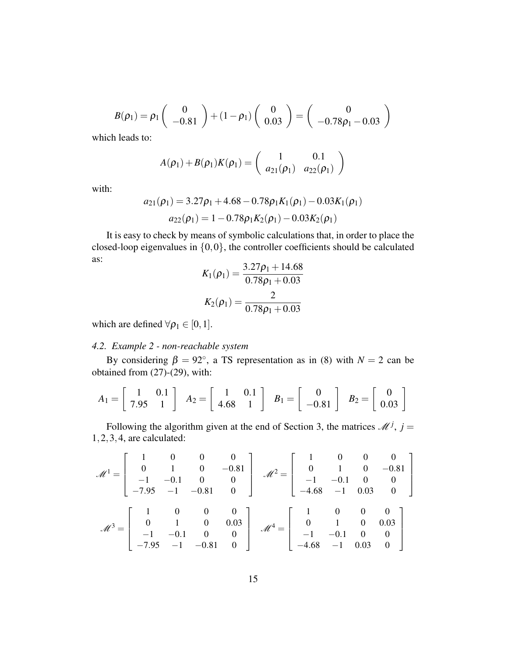$$
B(\rho_1) = \rho_1 \begin{pmatrix} 0 \\ -0.81 \end{pmatrix} + (1 - \rho_1) \begin{pmatrix} 0 \\ 0.03 \end{pmatrix} = \begin{pmatrix} 0 \\ -0.78 \rho_1 - 0.03 \end{pmatrix}
$$

which leads to:

$$
A(\rho_1) + B(\rho_1)K(\rho_1) = \begin{pmatrix} 1 & 0.1 \\ a_{21}(\rho_1) & a_{22}(\rho_1) \end{pmatrix}
$$

with:

$$
a_{21}(\rho_1) = 3.27\rho_1 + 4.68 - 0.78\rho_1 K_1(\rho_1) - 0.03K_1(\rho_1)
$$
  

$$
a_{22}(\rho_1) = 1 - 0.78\rho_1 K_2(\rho_1) - 0.03K_2(\rho_1)
$$

It is easy to check by means of symbolic calculations that, in order to place the closed-loop eigenvalues in  $\{0,0\}$ , the controller coefficients should be calculated as:

$$
K_1(\rho_1) = \frac{3.27\rho_1 + 14.68}{0.78\rho_1 + 0.03}
$$

$$
K_2(\rho_1) = \frac{2}{0.78\rho_1 + 0.03}
$$

which are defined  $\forall \rho_1 \in [0,1]$ .

# *4.2. Example 2 - non-reachable system*

By considering  $\beta = 92^{\circ}$ , a TS representation as in (8) with  $N = 2$  can be obtained from (27)-(29), with:

$$
A_1 = \begin{bmatrix} 1 & 0.1 \\ 7.95 & 1 \end{bmatrix} \quad A_2 = \begin{bmatrix} 1 & 0.1 \\ 4.68 & 1 \end{bmatrix} \quad B_1 = \begin{bmatrix} 0 \\ -0.81 \end{bmatrix} \quad B_2 = \begin{bmatrix} 0 \\ 0.03 \end{bmatrix}
$$

Following the algorithm given at the end of Section 3, the matrices  $\mathcal{M}^j$ ,  $j =$ 1,2,3,4, are calculated:

$$
\mathcal{M}^{1} = \begin{bmatrix} 1 & 0 & 0 & 0 \\ 0 & 1 & 0 & -0.81 \\ -1 & -0.1 & 0 & 0 \\ -7.95 & -1 & -0.81 & 0 \end{bmatrix} \quad \mathcal{M}^{2} = \begin{bmatrix} 1 & 0 & 0 & 0 \\ 0 & 1 & 0 & -0.81 \\ -1 & -0.1 & 0 & 0 \\ -4.68 & -1 & 0.03 & 0 \end{bmatrix}
$$

$$
\mathcal{M}^{3} = \begin{bmatrix} 1 & 0 & 0 & 0 \\ 0 & 1 & 0 & 0.03 \\ -1 & -0.1 & 0 & 0 \\ -7.95 & -1 & -0.81 & 0 \end{bmatrix} \quad \mathcal{M}^{4} = \begin{bmatrix} 1 & 0 & 0 & 0 \\ 0 & 1 & 0 & 0.03 \\ -1 & -0.1 & 0 & 0 \\ -4.68 & -1 & 0.03 & 0 \end{bmatrix}
$$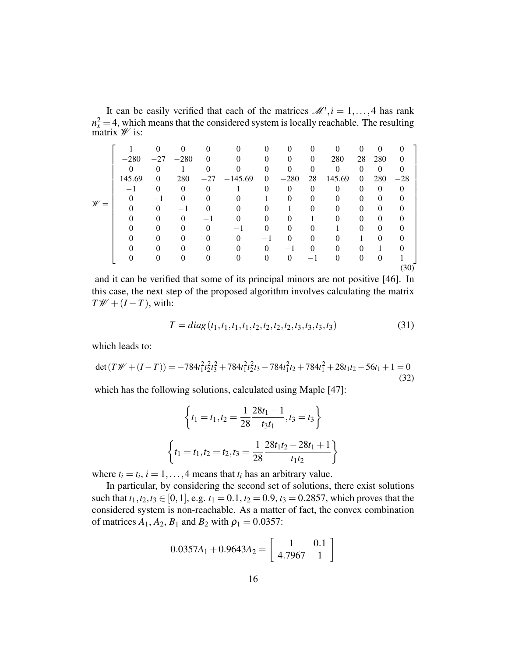It can be easily verified that each of the matrices  $\mathcal{M}^i$ ,  $i = 1, ..., 4$  has rank  $n_x^2 = 4$ , which means that the considered system is locally reachable. The resulting matrix  $\mathscr W$  is:

|                 |        |          |            |          |               | 0        | $\Omega$ | $\Omega$ | 0        |          | $\Omega$ |          |  |
|-----------------|--------|----------|------------|----------|---------------|----------|----------|----------|----------|----------|----------|----------|--|
| $\mathscr{W} =$ | $-280$ |          | $-27 -280$ | $\theta$ |               | 0        | $\Omega$ | $\Omega$ | 280      | 28       | 280      | $\theta$ |  |
|                 |        | 0        |            |          |               | 0        | $\Omega$ | 0        | $\Omega$ | 0        | $\theta$ |          |  |
|                 | 145.69 | $\Omega$ | 280        |          | $-27 -145.69$ | $\theta$ | $-280$   | 28       | 145.69   | $\Omega$ | 280      | $-28$    |  |
|                 | $-1$   | $\theta$ | $\Omega$   | $\Omega$ |               | 0        | $\Omega$ | $\Omega$ | $\Omega$ | $\Omega$ | $\Omega$ | $\theta$ |  |
|                 |        | $-1$     | $\Omega$   | 0        |               |          | $\theta$ | 0        | 0        | 0        | $\Omega$ |          |  |
|                 |        | 0        | -1         | 0        |               |          |          | 0        | 0        | 0        | $\Omega$ |          |  |
|                 |        |          | 0          |          |               |          |          |          |          | 0        | $\Omega$ |          |  |
|                 |        |          |            |          |               |          |          |          |          |          | $\Omega$ |          |  |
|                 |        |          |            |          |               | —1       |          | 0        |          |          | 0        |          |  |
|                 |        |          |            |          |               | 0        |          | $\Omega$ |          |          |          |          |  |
|                 |        | 0        |            | $\Omega$ |               | 0        | $\Omega$ |          | $\Omega$ | $\Omega$ | $\Omega$ |          |  |
|                 |        |          |            |          |               |          |          |          |          |          |          | (30)     |  |

and it can be verified that some of its principal minors are not positive [46]. In this case, the next step of the proposed algorithm involves calculating the matrix  $T\mathscr{W} + (I - T)$ , with:

$$
T = diag(t_1, t_1, t_1, t_1, t_2, t_2, t_2, t_2, t_3, t_3, t_3, t_3))
$$
\n(31)

which leads to:

$$
\det(T\mathscr{W} + (I - T)) = -784t_1^2t_2^2t_3^2 + 784t_1^2t_2^2t_3 - 784t_1^2t_2 + 784t_1^2 + 28t_1t_2 - 56t_1 + 1 = 0
$$
\n(32)

which has the following solutions, calculated using Maple [47]:

$$
\left\{t_1 = t_1, t_2 = \frac{1}{28} \frac{28t_1 - 1}{t_3 t_1}, t_3 = t_3\right\}
$$

$$
\left\{t_1 = t_1, t_2 = t_2, t_3 = \frac{1}{28} \frac{28t_1 t_2 - 28t_1 + 1}{t_1 t_2}\right\}
$$

where  $t_i = t_i$ ,  $i = 1, ..., 4$  means that  $t_i$  has an arbitrary value.

In particular, by considering the second set of solutions, there exist solutions such that  $t_1, t_2, t_3 \in [0, 1]$ , e.g.  $t_1 = 0.1$ ,  $t_2 = 0.9$ ,  $t_3 = 0.2857$ , which proves that the considered system is non-reachable. As a matter of fact, the convex combination of matrices  $A_1$ ,  $A_2$ ,  $B_1$  and  $B_2$  with  $\rho_1 = 0.0357$ :

$$
0.0357A_1 + 0.9643A_2 = \left[ \begin{array}{cc} 1 & 0.1 \\ 4.7967 & 1 \end{array} \right]
$$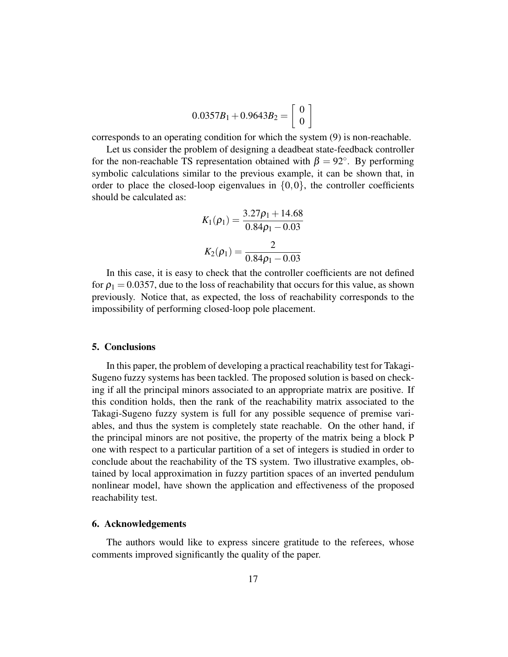$$
0.0357B_1 + 0.9643B_2 = \left[ \begin{array}{c} 0 \\ 0 \end{array} \right]
$$

corresponds to an operating condition for which the system (9) is non-reachable.

Let us consider the problem of designing a deadbeat state-feedback controller for the non-reachable TS representation obtained with  $\beta = 92^{\circ}$ . By performing symbolic calculations similar to the previous example, it can be shown that, in order to place the closed-loop eigenvalues in  $\{0,0\}$ , the controller coefficients should be calculated as:

$$
K_1(\rho_1) = \frac{3.27\rho_1 + 14.68}{0.84\rho_1 - 0.03}
$$

$$
K_2(\rho_1) = \frac{2}{0.84\rho_1 - 0.03}
$$

In this case, it is easy to check that the controller coefficients are not defined for  $\rho_1 = 0.0357$ , due to the loss of reachability that occurs for this value, as shown previously. Notice that, as expected, the loss of reachability corresponds to the impossibility of performing closed-loop pole placement.

# 5. Conclusions

In this paper, the problem of developing a practical reachability test for Takagi-Sugeno fuzzy systems has been tackled. The proposed solution is based on checking if all the principal minors associated to an appropriate matrix are positive. If this condition holds, then the rank of the reachability matrix associated to the Takagi-Sugeno fuzzy system is full for any possible sequence of premise variables, and thus the system is completely state reachable. On the other hand, if the principal minors are not positive, the property of the matrix being a block P one with respect to a particular partition of a set of integers is studied in order to conclude about the reachability of the TS system. Two illustrative examples, obtained by local approximation in fuzzy partition spaces of an inverted pendulum nonlinear model, have shown the application and effectiveness of the proposed reachability test.

#### 6. Acknowledgements

The authors would like to express sincere gratitude to the referees, whose comments improved significantly the quality of the paper.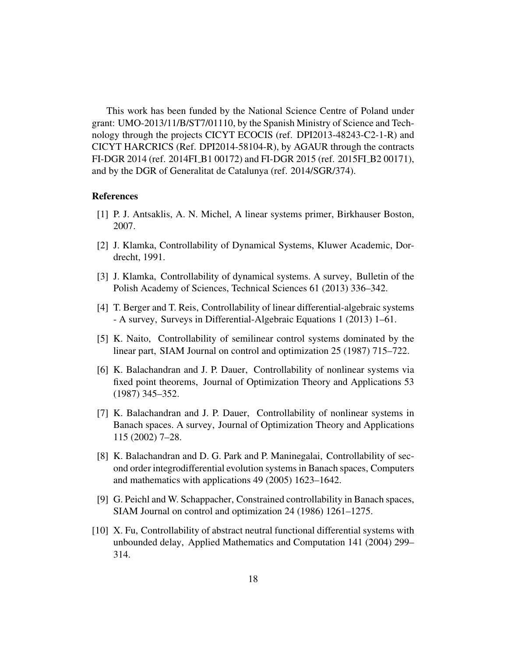This work has been funded by the National Science Centre of Poland under grant: UMO-2013/11/B/ST7/01110, by the Spanish Ministry of Science and Technology through the projects CICYT ECOCIS (ref. DPI2013-48243-C2-1-R) and CICYT HARCRICS (Ref. DPI2014-58104-R), by AGAUR through the contracts FI-DGR 2014 (ref. 2014FI B1 00172) and FI-DGR 2015 (ref. 2015FI B2 00171), and by the DGR of Generalitat de Catalunya (ref. 2014/SGR/374).

### References

- [1] P. J. Antsaklis, A. N. Michel, A linear systems primer, Birkhauser Boston, 2007.
- [2] J. Klamka, Controllability of Dynamical Systems, Kluwer Academic, Dordrecht, 1991.
- [3] J. Klamka, Controllability of dynamical systems. A survey, Bulletin of the Polish Academy of Sciences, Technical Sciences 61 (2013) 336–342.
- [4] T. Berger and T. Reis, Controllability of linear differential-algebraic systems - A survey, Surveys in Differential-Algebraic Equations 1 (2013) 1–61.
- [5] K. Naito, Controllability of semilinear control systems dominated by the linear part, SIAM Journal on control and optimization 25 (1987) 715–722.
- [6] K. Balachandran and J. P. Dauer, Controllability of nonlinear systems via fixed point theorems, Journal of Optimization Theory and Applications 53 (1987) 345–352.
- [7] K. Balachandran and J. P. Dauer, Controllability of nonlinear systems in Banach spaces. A survey, Journal of Optimization Theory and Applications 115 (2002) 7–28.
- [8] K. Balachandran and D. G. Park and P. Maninegalai, Controllability of second order integrodifferential evolution systems in Banach spaces, Computers and mathematics with applications 49 (2005) 1623–1642.
- [9] G. Peichl and W. Schappacher, Constrained controllability in Banach spaces, SIAM Journal on control and optimization 24 (1986) 1261–1275.
- [10] X. Fu, Controllability of abstract neutral functional differential systems with unbounded delay, Applied Mathematics and Computation 141 (2004) 299– 314.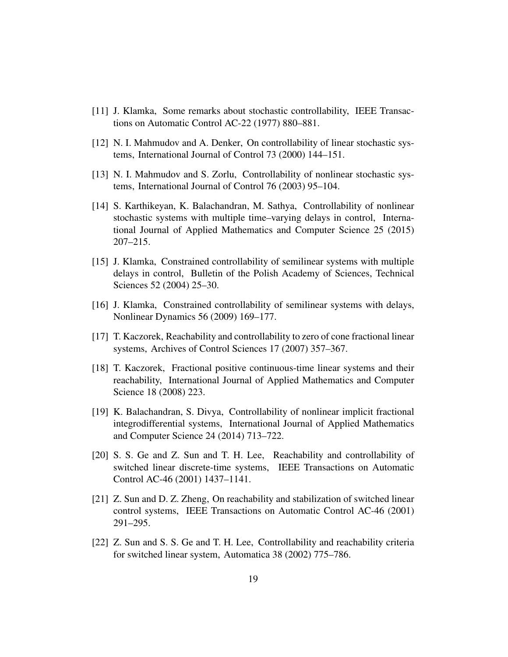- [11] J. Klamka, Some remarks about stochastic controllability, IEEE Transactions on Automatic Control AC-22 (1977) 880–881.
- [12] N. I. Mahmudov and A. Denker, On controllability of linear stochastic systems, International Journal of Control 73 (2000) 144–151.
- [13] N. I. Mahmudov and S. Zorlu, Controllability of nonlinear stochastic systems, International Journal of Control 76 (2003) 95–104.
- [14] S. Karthikeyan, K. Balachandran, M. Sathya, Controllability of nonlinear stochastic systems with multiple time–varying delays in control, International Journal of Applied Mathematics and Computer Science 25 (2015) 207–215.
- [15] J. Klamka, Constrained controllability of semilinear systems with multiple delays in control, Bulletin of the Polish Academy of Sciences, Technical Sciences 52 (2004) 25–30.
- [16] J. Klamka, Constrained controllability of semilinear systems with delays, Nonlinear Dynamics 56 (2009) 169–177.
- [17] T. Kaczorek, Reachability and controllability to zero of cone fractional linear systems, Archives of Control Sciences 17 (2007) 357–367.
- [18] T. Kaczorek, Fractional positive continuous-time linear systems and their reachability, International Journal of Applied Mathematics and Computer Science 18 (2008) 223.
- [19] K. Balachandran, S. Divya, Controllability of nonlinear implicit fractional integrodifferential systems, International Journal of Applied Mathematics and Computer Science 24 (2014) 713–722.
- [20] S. S. Ge and Z. Sun and T. H. Lee, Reachability and controllability of switched linear discrete-time systems, IEEE Transactions on Automatic Control AC-46 (2001) 1437–1141.
- [21] Z. Sun and D. Z. Zheng, On reachability and stabilization of switched linear control systems, IEEE Transactions on Automatic Control AC-46 (2001) 291–295.
- [22] Z. Sun and S. S. Ge and T. H. Lee, Controllability and reachability criteria for switched linear system, Automatica 38 (2002) 775–786.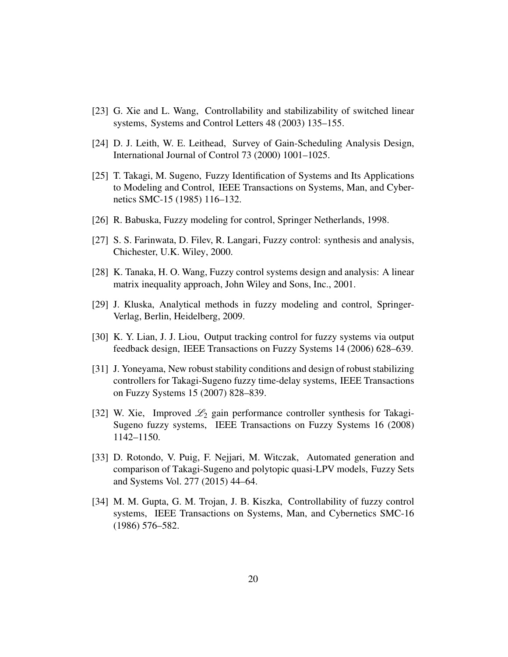- [23] G. Xie and L. Wang, Controllability and stabilizability of switched linear systems, Systems and Control Letters 48 (2003) 135–155.
- [24] D. J. Leith, W. E. Leithead, Survey of Gain-Scheduling Analysis Design, International Journal of Control 73 (2000) 1001–1025.
- [25] T. Takagi, M. Sugeno, Fuzzy Identification of Systems and Its Applications to Modeling and Control, IEEE Transactions on Systems, Man, and Cybernetics SMC-15 (1985) 116–132.
- [26] R. Babuska, Fuzzy modeling for control, Springer Netherlands, 1998.
- [27] S. S. Farinwata, D. Filev, R. Langari, Fuzzy control: synthesis and analysis, Chichester, U.K. Wiley, 2000.
- [28] K. Tanaka, H. O. Wang, Fuzzy control systems design and analysis: A linear matrix inequality approach, John Wiley and Sons, Inc., 2001.
- [29] J. Kluska, Analytical methods in fuzzy modeling and control, Springer-Verlag, Berlin, Heidelberg, 2009.
- [30] K. Y. Lian, J. J. Liou, Output tracking control for fuzzy systems via output feedback design, IEEE Transactions on Fuzzy Systems 14 (2006) 628–639.
- [31] J. Yoneyama, New robust stability conditions and design of robust stabilizing controllers for Takagi-Sugeno fuzzy time-delay systems, IEEE Transactions on Fuzzy Systems 15 (2007) 828–839.
- [32] W. Xie, Improved  $\mathcal{L}_2$  gain performance controller synthesis for Takagi-Sugeno fuzzy systems, IEEE Transactions on Fuzzy Systems 16 (2008) 1142–1150.
- [33] D. Rotondo, V. Puig, F. Nejjari, M. Witczak, Automated generation and comparison of Takagi-Sugeno and polytopic quasi-LPV models, Fuzzy Sets and Systems Vol. 277 (2015) 44–64.
- [34] M. M. Gupta, G. M. Trojan, J. B. Kiszka, Controllability of fuzzy control systems, IEEE Transactions on Systems, Man, and Cybernetics SMC-16 (1986) 576–582.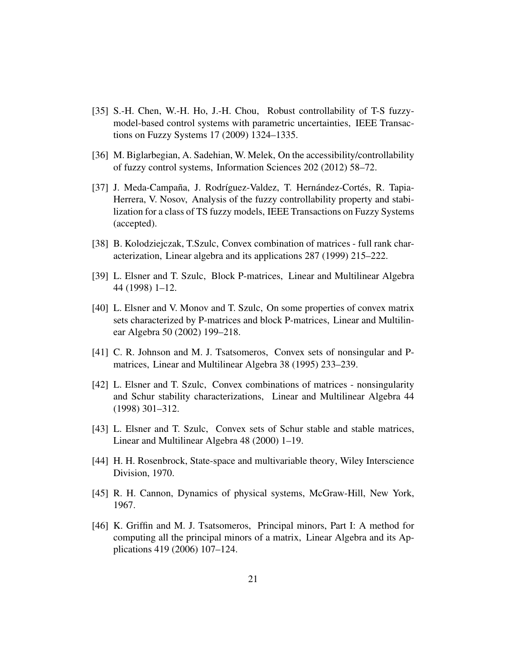- [35] S.-H. Chen, W.-H. Ho, J.-H. Chou, Robust controllability of T-S fuzzymodel-based control systems with parametric uncertainties, IEEE Transactions on Fuzzy Systems 17 (2009) 1324–1335.
- [36] M. Biglarbegian, A. Sadehian, W. Melek, On the accessibility/controllability of fuzzy control systems, Information Sciences 202 (2012) 58–72.
- [37] J. Meda-Campaña, J. Rodríguez-Valdez, T. Hernández-Cortés, R. Tapia-Herrera, V. Nosov, Analysis of the fuzzy controllability property and stabilization for a class of TS fuzzy models, IEEE Transactions on Fuzzy Systems (accepted).
- [38] B. Kolodziejczak, T.Szulc, Convex combination of matrices full rank characterization, Linear algebra and its applications 287 (1999) 215–222.
- [39] L. Elsner and T. Szulc, Block P-matrices, Linear and Multilinear Algebra 44 (1998) 1–12.
- [40] L. Elsner and V. Monov and T. Szulc, On some properties of convex matrix sets characterized by P-matrices and block P-matrices, Linear and Multilinear Algebra 50 (2002) 199–218.
- [41] C. R. Johnson and M. J. Tsatsomeros, Convex sets of nonsingular and Pmatrices, Linear and Multilinear Algebra 38 (1995) 233–239.
- [42] L. Elsner and T. Szulc, Convex combinations of matrices nonsingularity and Schur stability characterizations, Linear and Multilinear Algebra 44 (1998) 301–312.
- [43] L. Elsner and T. Szulc, Convex sets of Schur stable and stable matrices, Linear and Multilinear Algebra 48 (2000) 1–19.
- [44] H. H. Rosenbrock, State-space and multivariable theory, Wiley Interscience Division, 1970.
- [45] R. H. Cannon, Dynamics of physical systems, McGraw-Hill, New York, 1967.
- [46] K. Griffin and M. J. Tsatsomeros, Principal minors, Part I: A method for computing all the principal minors of a matrix, Linear Algebra and its Applications 419 (2006) 107–124.